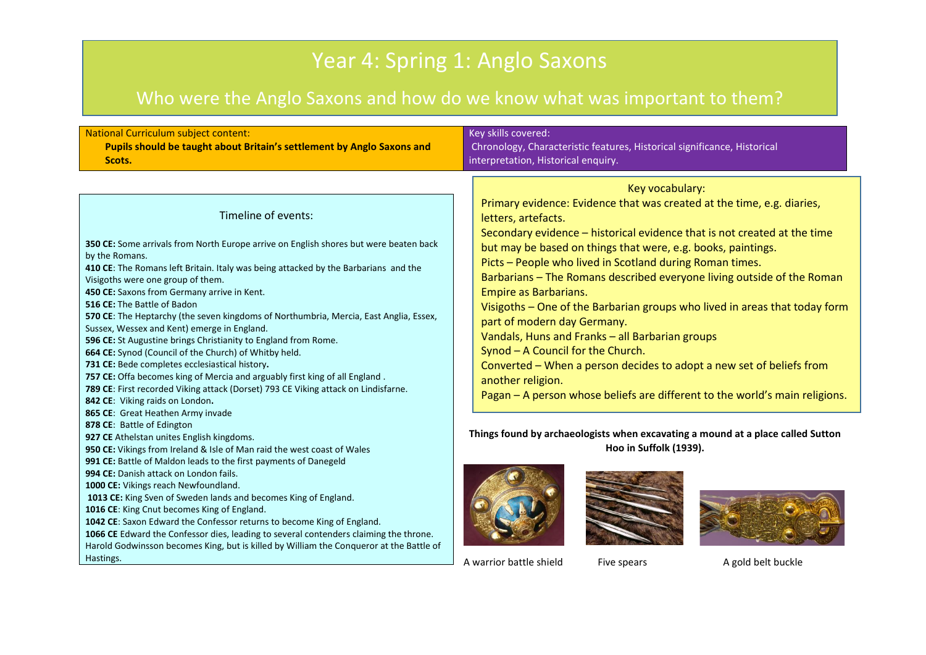# Year 4: Spring 1: Anglo Saxons

# Who were the Anglo Saxons and how do we know what was important to them?

| National Curriculum subject content:                                                                                                                                                                                                                                                                                                                                                                                                                                                                                                                                                                                                                                                                                                       | Key skills covered:                                                                                                                                                       |
|--------------------------------------------------------------------------------------------------------------------------------------------------------------------------------------------------------------------------------------------------------------------------------------------------------------------------------------------------------------------------------------------------------------------------------------------------------------------------------------------------------------------------------------------------------------------------------------------------------------------------------------------------------------------------------------------------------------------------------------------|---------------------------------------------------------------------------------------------------------------------------------------------------------------------------|
| Pupils should be taught about Britain's settlement by Anglo Saxons and                                                                                                                                                                                                                                                                                                                                                                                                                                                                                                                                                                                                                                                                     | Chronology, Characteristic features, Historical significance, Historical                                                                                                  |
| Scots.                                                                                                                                                                                                                                                                                                                                                                                                                                                                                                                                                                                                                                                                                                                                     | interpretation, Historical enquiry.                                                                                                                                       |
| Timeline of events:                                                                                                                                                                                                                                                                                                                                                                                                                                                                                                                                                                                                                                                                                                                        | Key vocabulary:                                                                                                                                                           |
| 350 CE: Some arrivals from North Europe arrive on English shores but were beaten back                                                                                                                                                                                                                                                                                                                                                                                                                                                                                                                                                                                                                                                      | Primary evidence: Evidence that was created at the time, e.g. diaries,                                                                                                    |
| by the Romans.                                                                                                                                                                                                                                                                                                                                                                                                                                                                                                                                                                                                                                                                                                                             | letters, artefacts.                                                                                                                                                       |
| 410 CE: The Romans left Britain. Italy was being attacked by the Barbarians and the                                                                                                                                                                                                                                                                                                                                                                                                                                                                                                                                                                                                                                                        | Secondary evidence - historical evidence that is not created at the time                                                                                                  |
| Visigoths were one group of them.                                                                                                                                                                                                                                                                                                                                                                                                                                                                                                                                                                                                                                                                                                          | but may be based on things that were, e.g. books, paintings.                                                                                                              |
| 450 CE: Saxons from Germany arrive in Kent.                                                                                                                                                                                                                                                                                                                                                                                                                                                                                                                                                                                                                                                                                                | Picts - People who lived in Scotland during Roman times.                                                                                                                  |
| 516 CE: The Battle of Badon                                                                                                                                                                                                                                                                                                                                                                                                                                                                                                                                                                                                                                                                                                                | Barbarians - The Romans described everyone living outside of the Roman                                                                                                    |
| 570 CE: The Heptarchy (the seven kingdoms of Northumbria, Mercia, East Anglia, Essex,                                                                                                                                                                                                                                                                                                                                                                                                                                                                                                                                                                                                                                                      | Empire as Barbarians.                                                                                                                                                     |
| Sussex, Wessex and Kent) emerge in England.                                                                                                                                                                                                                                                                                                                                                                                                                                                                                                                                                                                                                                                                                                | Visigoths - One of the Barbarian groups who lived in areas that today form                                                                                                |
| 596 CE: St Augustine brings Christianity to England from Rome.                                                                                                                                                                                                                                                                                                                                                                                                                                                                                                                                                                                                                                                                             | part of modern day Germany.                                                                                                                                               |
| 664 CE: Synod (Council of the Church) of Whitby held.                                                                                                                                                                                                                                                                                                                                                                                                                                                                                                                                                                                                                                                                                      | Vandals, Huns and Franks - all Barbarian groups                                                                                                                           |
| 731 CE: Bede completes ecclesiastical history.                                                                                                                                                                                                                                                                                                                                                                                                                                                                                                                                                                                                                                                                                             | Synod - A Council for the Church.                                                                                                                                         |
| 757 CE: Offa becomes king of Mercia and arguably first king of all England.                                                                                                                                                                                                                                                                                                                                                                                                                                                                                                                                                                                                                                                                | Converted - When a person decides to adopt a new set of beliefs from                                                                                                      |
| 789 CE: First recorded Viking attack (Dorset) 793 CE Viking attack on Lindisfarne.                                                                                                                                                                                                                                                                                                                                                                                                                                                                                                                                                                                                                                                         | another religion.                                                                                                                                                         |
| 842 CE: Viking raids on London.                                                                                                                                                                                                                                                                                                                                                                                                                                                                                                                                                                                                                                                                                                            | Pagan - A person whose beliefs are different to the world's main religions.                                                                                               |
| 865 CE: Great Heathen Army invade<br>878 CE: Battle of Edington<br>927 CE Athelstan unites English kingdoms.<br>950 CE: Vikings from Ireland & Isle of Man raid the west coast of Wales<br>991 CE: Battle of Maldon leads to the first payments of Danegeld<br>994 CE: Danish attack on London fails.<br>1000 CE: Vikings reach Newfoundland.<br>1013 CE: King Sven of Sweden lands and becomes King of England.<br>1016 CE: King Cnut becomes King of England.<br>1042 CE: Saxon Edward the Confessor returns to become King of England.<br>1066 CE Edward the Confessor dies, leading to several contenders claiming the throne.<br>Harold Godwinsson becomes King, but is killed by William the Conqueror at the Battle of<br>Hastings. | Things found by archaeologists when excavating a mound at a place called Sutton<br>Hoo in Suffolk (1939).<br>A warrior battle shield<br>A gold belt buckle<br>Five spears |